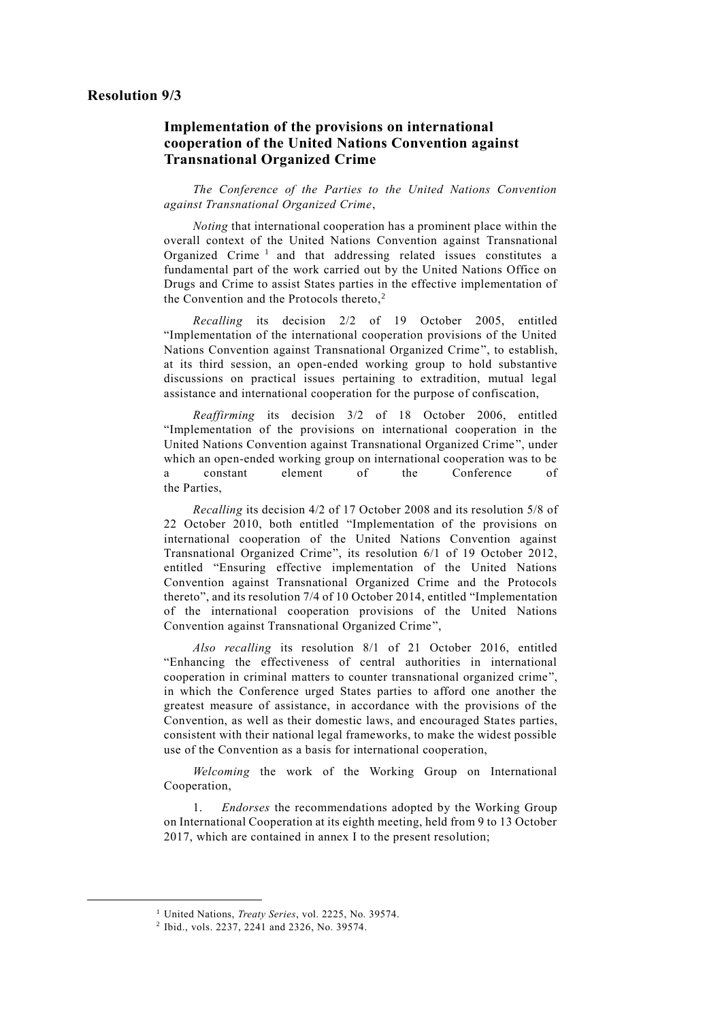# **Implementation of the provisions on international cooperation of the United Nations Convention against Transnational Organized Crime**

*The Conference of the Parties to the United Nations Convention against Transnational Organized Crime*,

*Noting* that international cooperation has a prominent place within the overall context of the United Nations Convention against Transnational Organized Crime<sup>1</sup> and that addressing related issues constitutes a fundamental part of the work carried out by the United Nations Office on Drugs and Crime to assist States parties in the effective implementation of the Convention and the Protocols thereto, $2$ 

*Recalling* its decision 2/2 of 19 October 2005, entitled "Implementation of the international cooperation provisions of the United Nations Convention against Transnational Organized Crime", to establish, at its third session, an open-ended working group to hold substantive discussions on practical issues pertaining to extradition, mutual legal assistance and international cooperation for the purpose of confiscation,

*Reaffirming* its decision 3/2 of 18 October 2006, entitled "Implementation of the provisions on international cooperation in the United Nations Convention against Transnational Organized Crime ", under which an open-ended working group on international cooperation was to be a constant element of the Conference of the Parties,

*Recalling* its decision 4/2 of 17 October 2008 and its resolution 5/8 of 22 October 2010, both entitled "Implementation of the provisions on international cooperation of the United Nations Convention against Transnational Organized Crime", its resolution 6/1 of 19 October 2012, entitled "Ensuring effective implementation of the United Nations Convention against Transnational Organized Crime and the Protocols thereto", and its resolution 7/4 of 10 October 2014, entitled "Implementation of the international cooperation provisions of the United Nations Convention against Transnational Organized Crime",

*Also recalling* its resolution 8/1 of 21 October 2016, entitled "Enhancing the effectiveness of central authorities in international cooperation in criminal matters to counter transnational organized crime", in which the Conference urged States parties to afford one another the greatest measure of assistance, in accordance with the provisions of the Convention, as well as their domestic laws, and encouraged States parties, consistent with their national legal frameworks, to make the widest possible use of the Convention as a basis for international cooperation,

*Welcoming* the work of the Working Group on International Cooperation,

1. *Endorses* the recommendations adopted by the Working Group on International Cooperation at its eighth meeting, held from 9 to 13 October 2017, which are contained in annex I to the present resolution;

-

<sup>1</sup> United Nations, *Treaty Series*, vol. 2225, No. 39574.

<sup>2</sup> Ibid., vols. 2237, 2241 and 2326, No. 39574.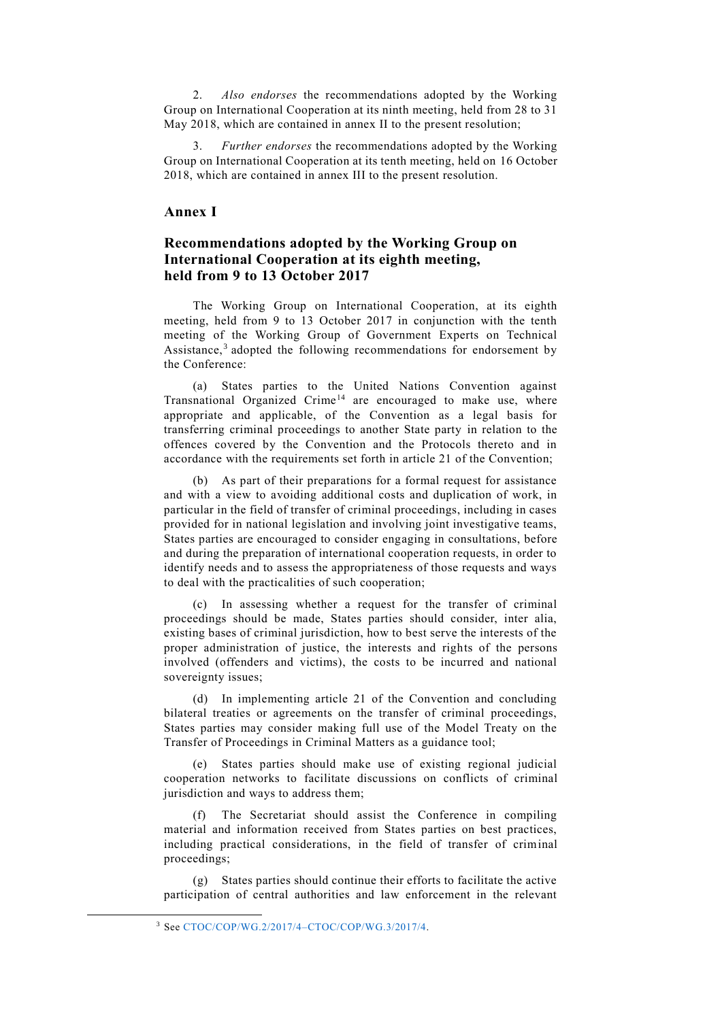2. *Also endorses* the recommendations adopted by the Working Group on International Cooperation at its ninth meeting, held from 28 to 31 May 2018, which are contained in annex II to the present resolution;

3. *Further endorses* the recommendations adopted by the Working Group on International Cooperation at its tenth meeting, held on 16 October 2018, which are contained in annex III to the present resolution.

### **Annex I**

# **Recommendations adopted by the Working Group on International Cooperation at its eighth meeting, held from 9 to 13 October 2017**

The Working Group on International Cooperation, at its eighth meeting, held from 9 to 13 October 2017 in conjunction with the tenth meeting of the Working Group of Government Experts on Technical Assistance,<sup>3</sup> adopted the following recommendations for endorsement by the Conference:

(a) States parties to the United Nations Convention against  $Transinational$  Organized Crime<sup>14</sup> are encouraged to make use, where appropriate and applicable, of the Convention as a legal basis for transferring criminal proceedings to another State party in relation to the offences covered by the Convention and the Protocols thereto and in accordance with the requirements set forth in article 21 of the Convention;

(b) As part of their preparations for a formal request for assistance and with a view to avoiding additional costs and duplication of work, in particular in the field of transfer of criminal proceedings, including in cases provided for in national legislation and involving joint investigative teams, States parties are encouraged to consider engaging in consultations, before and during the preparation of international cooperation requests, in order to identify needs and to assess the appropriateness of those requests and ways to deal with the practicalities of such cooperation;

(c) In assessing whether a request for the transfer of criminal proceedings should be made, States parties should consider, inter alia, existing bases of criminal jurisdiction, how to best serve the interests of the proper administration of justice, the interests and rights of the persons involved (offenders and victims), the costs to be incurred and national sovereignty issues;

(d) In implementing article 21 of the Convention and concluding bilateral treaties or agreements on the transfer of criminal proceedings, States parties may consider making full use of the Model Treaty on the Transfer of Proceedings in Criminal Matters as a guidance tool;

(e) States parties should make use of existing regional judicial cooperation networks to facilitate discussions on conflicts of criminal jurisdiction and ways to address them;

The Secretariat should assist the Conference in compiling material and information received from States parties on best practices, including practical considerations, in the field of transfer of criminal proceedings;

(g) States parties should continue their efforts to facilitate the active participation of central authorities and law enforcement in the relevant

-

<sup>3</sup> See [CTOC/COP/WG.2/2017/4–CTOC/COP/WG.3/2017/4.](http://undocs.org/CTOC/COP/WG.2/2017/4–CTOC/COP/WG.3/2017/4)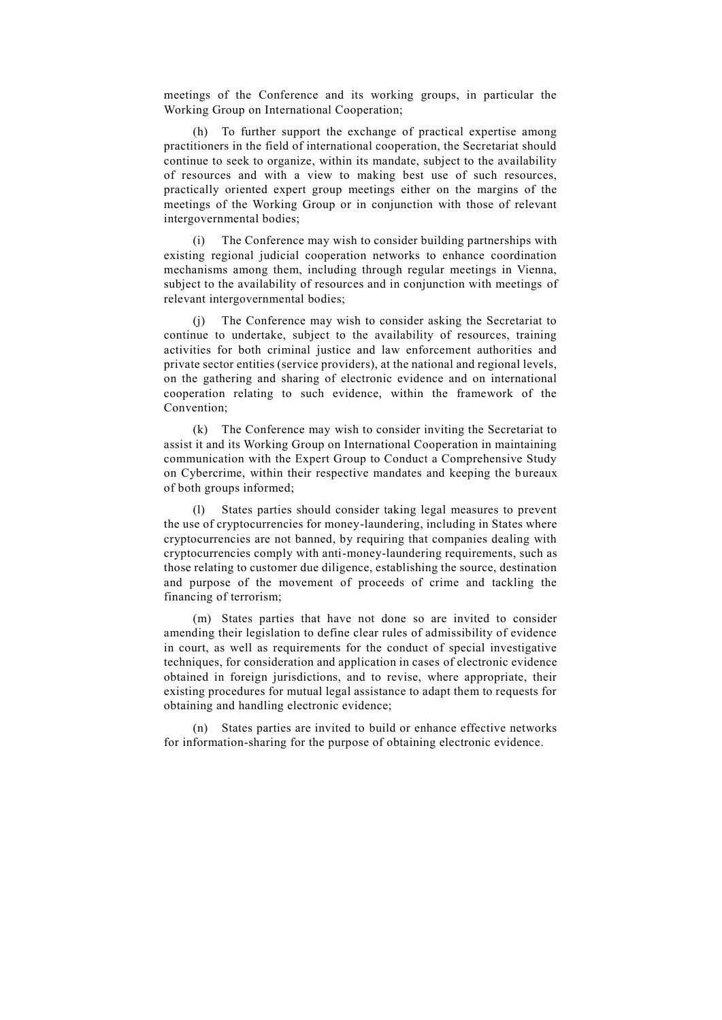meetings of the Conference and its working groups, in particular the Working Group on International Cooperation;

(h) To further support the exchange of practical expertise among practitioners in the field of international cooperation, the Secretariat should continue to seek to organize, within its mandate, subject to the availability of resources and with a view to making best use of such resources, practically oriented expert group meetings either on the margins of the meetings of the Working Group or in conjunction with those of relevant intergovernmental bodies;

(i) The Conference may wish to consider building partnerships with existing regional judicial cooperation networks to enhance coordination mechanisms among them, including through regular meetings in Vienna, subject to the availability of resources and in conjunction with meetings of relevant intergovernmental bodies;

(j) The Conference may wish to consider asking the Secretariat to continue to undertake, subject to the availability of resources, training activities for both criminal justice and law enforcement authorities and private sector entities (service providers), at the national and regional levels, on the gathering and sharing of electronic evidence and on international cooperation relating to such evidence, within the framework of the Convention;

(k) The Conference may wish to consider inviting the Secretariat to assist it and its Working Group on International Cooperation in maintaining communication with the Expert Group to Conduct a Comprehensive Study on Cybercrime, within their respective mandates and keeping the bureaux of both groups informed;

(l) States parties should consider taking legal measures to prevent the use of cryptocurrencies for money-laundering, including in States where cryptocurrencies are not banned, by requiring that companies dealing with cryptocurrencies comply with anti-money-laundering requirements, such as those relating to customer due diligence, establishing the source, destination and purpose of the movement of proceeds of crime and tackling the financing of terrorism;

(m) States parties that have not done so are invited to consider amending their legislation to define clear rules of admissibility of evidence in court, as well as requirements for the conduct of special investigative techniques, for consideration and application in cases of electronic evidence obtained in foreign jurisdictions, and to revise, where appropriate, their existing procedures for mutual legal assistance to adapt them to requests for obtaining and handling electronic evidence;

(n) States parties are invited to build or enhance effective networks for information-sharing for the purpose of obtaining electronic evidence.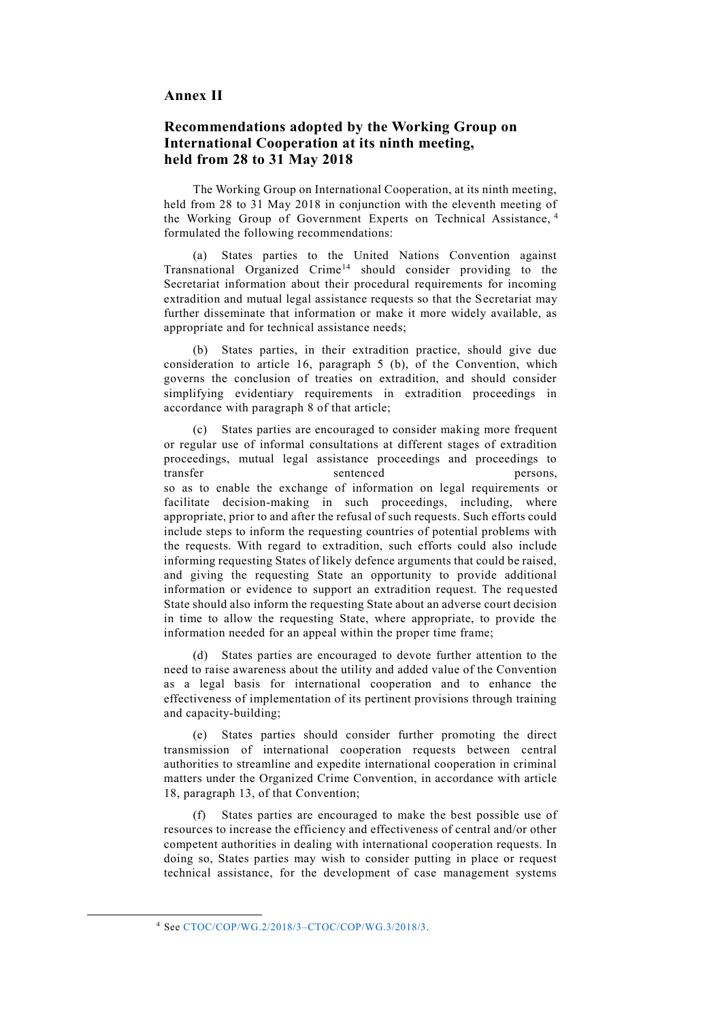#### **Annex II**

# **Recommendations adopted by the Working Group on International Cooperation at its ninth meeting, held from 28 to 31 May 2018**

The Working Group on International Cooperation, at its ninth meeting, held from 28 to 31 May 2018 in conjunction with the eleventh meeting of the Working Group of Government Experts on Technical Assistance, <sup>4</sup> formulated the following recommendations:

(a) States parties to the United Nations Convention against Transnational Organized Crime<sup>14</sup> should consider providing to the Secretariat information about their procedural requirements for incoming extradition and mutual legal assistance requests so that the Secretariat may further disseminate that information or make it more widely available, as appropriate and for technical assistance needs;

(b) States parties, in their extradition practice, should give due consideration to article 16, paragraph 5 (b), of the Convention, which governs the conclusion of treaties on extradition, and should consider simplifying evidentiary requirements in extradition proceedings in accordance with paragraph 8 of that article;

(c) States parties are encouraged to consider making more frequent or regular use of informal consultations at different stages of extradition proceedings, mutual legal assistance proceedings and proceedings to transfer sentenced persons, so as to enable the exchange of information on legal requirements or facilitate decision-making in such proceedings, including, where appropriate, prior to and after the refusal of such requests. Such efforts could include steps to inform the requesting countries of potential problems with the requests. With regard to extradition, such efforts could also include informing requesting States of likely defence arguments that could be raised, and giving the requesting State an opportunity to provide additional information or evidence to support an extradition request. The requested State should also inform the requesting State about an adverse court decision in time to allow the requesting State, where appropriate, to provide the information needed for an appeal within the proper time frame;

(d) States parties are encouraged to devote further attention to the need to raise awareness about the utility and added value of the Convention as a legal basis for international cooperation and to enhance the effectiveness of implementation of its pertinent provisions through training and capacity-building;

(e) States parties should consider further promoting the direct transmission of international cooperation requests between central authorities to streamline and expedite international cooperation in criminal matters under the Organized Crime Convention, in accordance with article 18, paragraph 13, of that Convention;

(f) States parties are encouraged to make the best possible use of resources to increase the efficiency and effectiveness of central and/or other competent authorities in dealing with international cooperation requests. In doing so, States parties may wish to consider putting in place or request technical assistance, for the development of case management systems

-

<sup>4</sup> See [CTOC/COP/WG.2/2018/3–CTOC/COP/WG.3/2018/3.](http://undocs.org/CTOC/COP/WG.2/2018/3–CTOC/COP/WG.3/2018/3)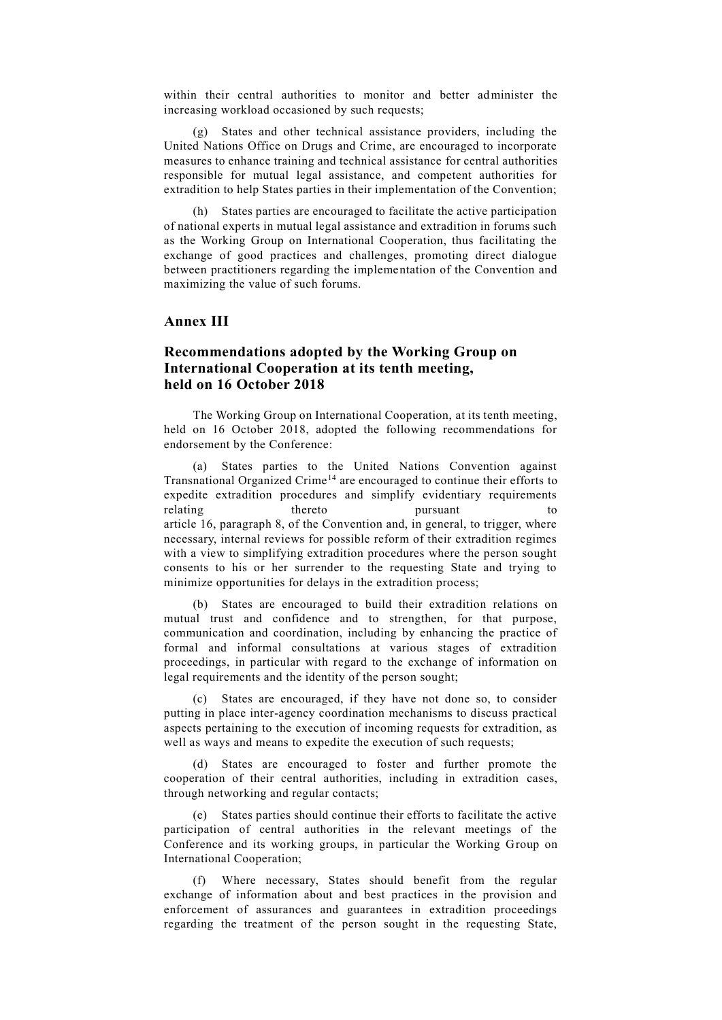within their central authorities to monitor and better administer the increasing workload occasioned by such requests;

(g) States and other technical assistance providers, including the United Nations Office on Drugs and Crime, are encouraged to incorporate measures to enhance training and technical assistance for central authorities responsible for mutual legal assistance, and competent authorities for extradition to help States parties in their implementation of the Convention;

(h) States parties are encouraged to facilitate the active participation of national experts in mutual legal assistance and extradition in forums such as the Working Group on International Cooperation, thus facilitating the exchange of good practices and challenges, promoting direct dialogue between practitioners regarding the implementation of the Convention and maximizing the value of such forums.

### **Annex III**

# **Recommendations adopted by the Working Group on International Cooperation at its tenth meeting, held on 16 October 2018**

The Working Group on International Cooperation, at its tenth meeting, held on 16 October 2018, adopted the following recommendations for endorsement by the Conference:

(a) States parties to the United Nations Convention against Transnational Organized Crime<sup>14</sup> are encouraged to continue their efforts to expedite extradition procedures and simplify evidentiary requirements relating thereto pursuant to to article 16, paragraph 8, of the Convention and, in general, to trigger, where necessary, internal reviews for possible reform of their extradition regimes with a view to simplifying extradition procedures where the person sought consents to his or her surrender to the requesting State and trying to minimize opportunities for delays in the extradition process;

(b) States are encouraged to build their extradition relations on mutual trust and confidence and to strengthen, for that purpose, communication and coordination, including by enhancing the practice of formal and informal consultations at various stages of extradition proceedings, in particular with regard to the exchange of information on legal requirements and the identity of the person sought;

(c) States are encouraged, if they have not done so, to consider putting in place inter-agency coordination mechanisms to discuss practical aspects pertaining to the execution of incoming requests for extradition, as well as ways and means to expedite the execution of such requests;

(d) States are encouraged to foster and further promote the cooperation of their central authorities, including in extradition cases, through networking and regular contacts;

(e) States parties should continue their efforts to facilitate the active participation of central authorities in the relevant meetings of the Conference and its working groups, in particular the Working Group on International Cooperation;

(f) Where necessary, States should benefit from the regular exchange of information about and best practices in the provision and enforcement of assurances and guarantees in extradition proceedings regarding the treatment of the person sought in the requesting State,